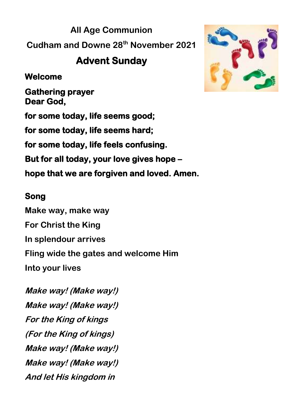**All Age Communion Cudham and Downe 28th November 2021**

# **Advent Sunday**

### **Welcome**

**Gathering prayer Dear God,** 

**for some today, life seems good;** 

**for some today, life seems hard;** 

**for some today, life feels confusing.** 

**But for all today, your love gives hope –** 

**hope that we are forgiven and loved. Amen.** 

# **Song**

**Make way, make way For Christ the King In splendour arrives Fling wide the gates and welcome Him Into your lives**

**Make way! (Make way!) Make way! (Make way!) For the King of kings (For the King of kings) Make way! (Make way!) Make way! (Make way!) And let His kingdom in**

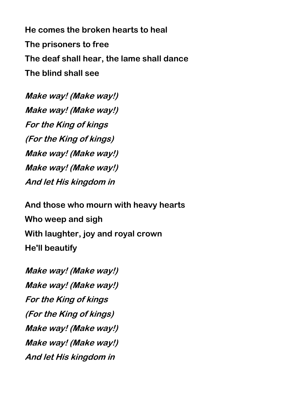**He comes the broken hearts to heal The prisoners to free The deaf shall hear, the lame shall dance The blind shall see**

**Make way! (Make way!) Make way! (Make way!) For the King of kings (For the King of kings) Make way! (Make way!) Make way! (Make way!) And let His kingdom in**

**And those who mourn with heavy hearts Who weep and sigh With laughter, joy and royal crown He'll beautify**

**Make way! (Make way!) Make way! (Make way!) For the King of kings (For the King of kings) Make way! (Make way!) Make way! (Make way!) And let His kingdom in**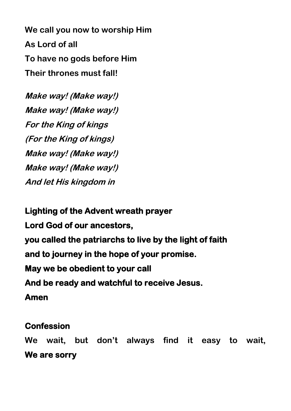**We call you now to worship Him As Lord of all To have no gods before Him Their thrones must fall!**

**Make way! (Make way!) Make way! (Make way!) For the King of kings (For the King of kings) Make way! (Make way!) Make way! (Make way!) And let His kingdom in**

**Lighting of the Advent wreath prayer Lord God of our ancestors, you called the patriarchs to live by the light of faith and to journey in the hope of your promise. May we be obedient to your call And be ready and watchful to receive Jesus. Amen** 

#### **Confession**

**We wait, but don't always find it easy to wait, We are sorry**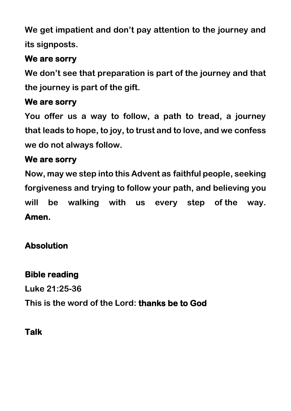**We get impatient and don't pay attention to the journey and its signposts.**

# **We are sorry**

**We don't see that preparation is part of the journey and that the journey is part of the gift.**

# **We are sorry**

**You offer us a way to follow, a path to tread, a journey that leads to hope, to joy, to trust and to love, and we confess we do not always follow.**

### **We are sorry**

**Now, may we step into this Advent as faithful people, seeking forgiveness and trying to follow your path, and believing you will be walking with us every step of the way. Amen.**

# **Absolution**

# **Bible reading**

**Luke 21:25-36**

**This is the word of the Lord: thanks be to God** 

### **Talk**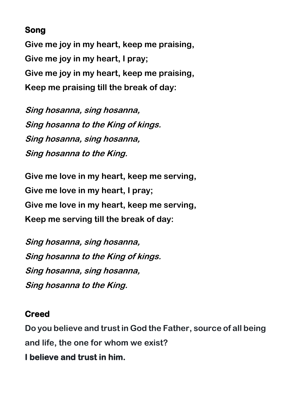### **Song**

**Give me joy in my heart, keep me praising, Give me joy in my heart, I pray; Give me joy in my heart, keep me praising, Keep me praising till the break of day:**

**Sing hosanna, sing hosanna, Sing hosanna to the King of kings. Sing hosanna, sing hosanna, Sing hosanna to the King.**

**Give me love in my heart, keep me serving, Give me love in my heart, I pray; Give me love in my heart, keep me serving, Keep me serving till the break of day:**

**Sing hosanna, sing hosanna, Sing hosanna to the King of kings. Sing hosanna, sing hosanna, Sing hosanna to the King.**

### **Creed**

**Do you believe and trust in God the Father, source of all being and life, the one for whom we exist?**

**I believe and trust in him.**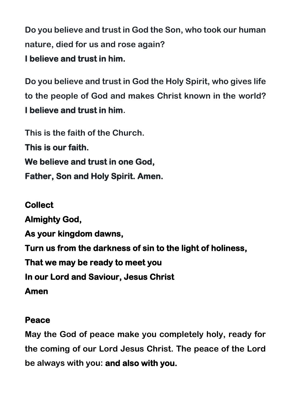**Do you believe and trust in God the Son, who took our human nature, died for us and rose again?**

**I believe and trust in him.** 

**Do you believe and trust in God the Holy Spirit, who gives life to the people of God and makes Christ known in the world? I believe and trust in him.**

**This is the faith of the Church.**

**This is our faith.** 

**We believe and trust in one God,** 

**Father, Son and Holy Spirit. Amen.** 

**Collect Almighty God, As your kingdom dawns, Turn us from the darkness of sin to the light of holiness, That we may be ready to meet you In our Lord and Saviour, Jesus Christ Amen** 

### **Peace**

**May the God of peace make you completely holy, ready for the coming of our Lord Jesus Christ. The peace of the Lord be always with you: and also with you.**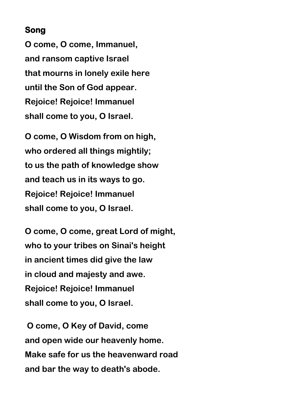#### **Song**

**O come, O come, Immanuel, and ransom captive Israel that mourns in lonely exile here until the Son of God appear. Rejoice! Rejoice! Immanuel shall come to you, O Israel.**

**O come, O Wisdom from on high, who ordered all things mightily; to us the path of knowledge show and teach us in its ways to go. Rejoice! Rejoice! Immanuel shall come to you, O Israel.**

**O come, O come, great Lord of might, who to your tribes on Sinai's height in ancient times did give the law in cloud and majesty and awe. Rejoice! Rejoice! Immanuel shall come to you, O Israel.**

**O come, O Key of David, come and open wide our heavenly home. Make safe for us the heavenward road and bar the way to death's abode.**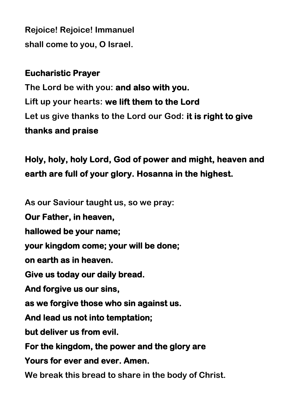**Rejoice! Rejoice! Immanuel shall come to you, O Israel.**

### **Eucharistic Prayer**

**The Lord be with you: and also with you. Lift up your hearts: we lift them to the Lord Let us give thanks to the Lord our God: it is right to give thanks and praise** 

**Holy, holy, holy Lord, God of power and might, heaven and earth are full of your glory. Hosanna in the highest.** 

**As our Saviour taught us, so we pray:**

**Our Father, in heaven,** 

**hallowed be your name;** 

**your kingdom come; your will be done;** 

**on earth as in heaven.** 

**Give us today our daily bread.** 

**And forgive us our sins,** 

**as we forgive those who sin against us.** 

**And lead us not into temptation;** 

**but deliver us from evil.** 

**For the kingdom, the power and the glory are** 

**Yours for ever and ever. Amen.** 

**We break this bread to share in the body of Christ.**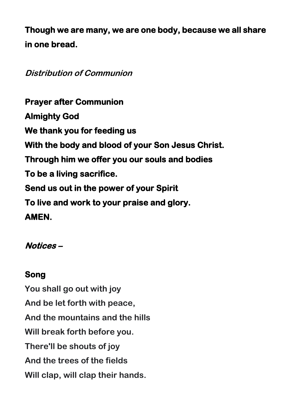**Though we are many, we are one body, because we all share in one bread.**

### **Distribution of Communion**

**Prayer after Communion Almighty God We thank you for feeding us With the body and blood of your Son Jesus Christ. Through him we offer you our souls and bodies To be a living sacrifice. Send us out in the power of your Spirit To live and work to your praise and glory. AMEN.** 

### **Notices –**

# **Song**

**You shall go out with joy And be let forth with peace, And the mountains and the hills Will break forth before you. There'll be shouts of joy And the trees of the fields Will clap, will clap their hands.**